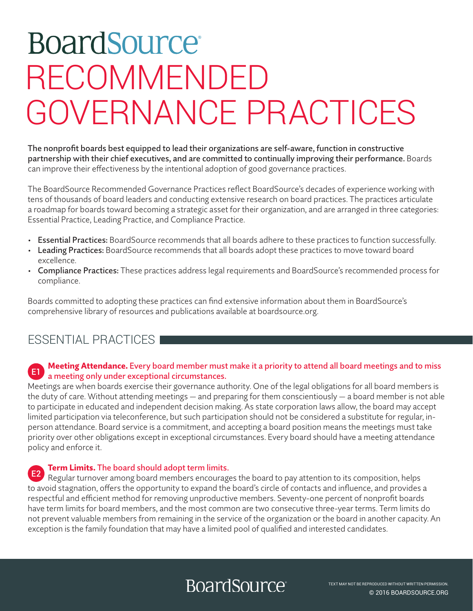# **BoardSource** RECOMMENDED GOVERNANCE PRACTICES

The nonprofit boards best equipped to lead their organizations are self-aware, function in constructive partnership with their chief executives, and are committed to continually improving their performance. Boards can improve their effectiveness by the intentional adoption of good governance practices.

The BoardSource Recommended Governance Practices reflect BoardSource's decades of experience working with tens of thousands of board leaders and conducting extensive research on board practices. The practices articulate a roadmap for boards toward becoming a strategic asset for their organization, and are arranged in three categories: Essential Practice, Leading Practice, and Compliance Practice.

- Essential Practices: BoardSource recommends that all boards adhere to these practices to function successfully.
- Leading Practices: BoardSource recommends that all boards adopt these practices to move toward board excellence.
- Compliance Practices: These practices address legal requirements and BoardSource's recommended process for compliance.

Boards committed to adopting these practices can find extensive information about them in BoardSource's comprehensive library of resources and publications available at boardsource.org.

## ESSENTIAL PRACTICES

### Meeting Attendance. Every board member must make it a priority to attend all board meetings and to miss E1 a meeting only under exceptional circumstances.

Meetings are when boards exercise their governance authority. One of the legal obligations for all board members is the duty of care. Without attending meetings — and preparing for them conscientiously — a board member is not able to participate in educated and independent decision making. As state corporation laws allow, the board may accept limited participation via teleconference, but such participation should not be considered a substitute for regular, inperson attendance. Board service is a commitment, and accepting a board position means the meetings must take priority over other obligations except in exceptional circumstances. Every board should have a meeting attendance policy and enforce it.

### Term Limits. The board should adopt term limits.

Regular turnover among board members encourages the board to pay attention to its composition, helps to avoid stagnation, offers the opportunity to expand the board's circle of contacts and influence, and provides a respectful and efficient method for removing unproductive members. Seventy-one percent of nonprofit boards have term limits for board members, and the most common are two consecutive three-year terms. Term limits do not prevent valuable members from remaining in the service of the organization or the board in another capacity. An exception is the family foundation that may have a limited pool of qualified and interested candidates. E2

## **BoardSource**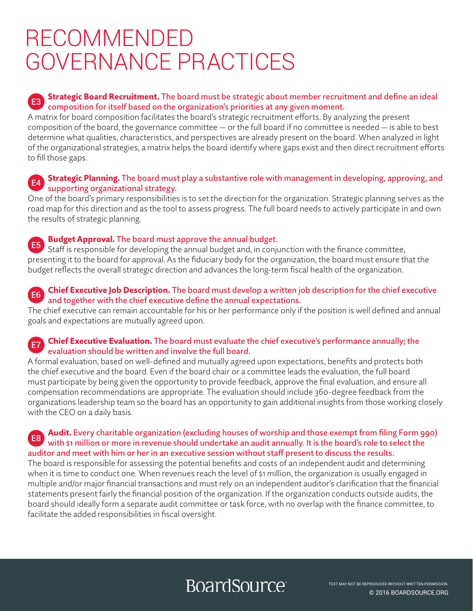#### Strategic Board Recruitment. The board must be strategic about member recruitment and define an ideal composition for itself based on the organization's priorities at any given moment. E3

A matrix for board composition facilitates the board's strategic recruitment efforts. By analyzing the present composition of the board, the governance committee — or the full board if no committee is needed — is able to best determine what qualities, characteristics, and perspectives are already present on the board. When analyzed in light of the organizational strategies, a matrix helps the board identify where gaps exist and then direct recruitment efforts to fill those gaps.

#### Strategic Planning. The board must play a substantive role with management in developing, approving, and supporting organizational strategy.  $E4$

One of the board's primary responsibilities is to set the direction for the organization. Strategic planning serves as the road map for this direction and as the tool to assess progress. The full board needs to actively participate in and own the results of strategic planning.

### Budget Approval. The board must approve the annual budget.

Staff is responsible for developing the annual budget and, in conjunction with the finance committee, presenting it to the board for approval. As the fiduciary body for the organization, the board must ensure that the budget reflects the overall strategic direction and advances the long-term fiscal health of the organization. E5

#### Chief Executive Job Description. The board must develop a written job description for the chief executive and together with the chief executive define the annual expectations.  $F_6$

The chief executive can remain accountable for his or her performance only if the position is well defined and annual goals and expectations are mutually agreed upon.

#### Chief Executive Evaluation. The board must evaluate the chief executive's performance annually; the evaluation should be written and involve the full board. E7

A formal evaluation, based on well-defined and mutually agreed upon expectations, benefits and protects both the chief executive and the board. Even if the board chair or a committee leads the evaluation, the full board must participate by being given the opportunity to provide feedback, approve the final evaluation, and ensure all compensation recommendations are appropriate. The evaluation should include 360-degree feedback from the organizations leadership team so the board has an opportunity to gain additional insights from those working closely with the CEO on a daily basis.

#### Audit. Every charitable organization (excluding houses of worship and those exempt from filing Form 990) with \$1 million or more in revenue should undertake an audit annually. It is the board's role to select the auditor and meet with him or her in an executive session without staff present to discuss the results. E8

The board is responsible for assessing the potential benefits and costs of an independent audit and determining when it is time to conduct one. When revenues reach the level of \$1 million, the organization is usually engaged in multiple and/or major financial transactions and must rely on an independent auditor's clarification that the financial statements present fairly the financial position of the organization. If the organization conducts outside audits, the board should ideally form a separate audit committee or task force, with no overlap with the finance committee, to facilitate the added responsibilities in fiscal oversight.

# **BoardSource**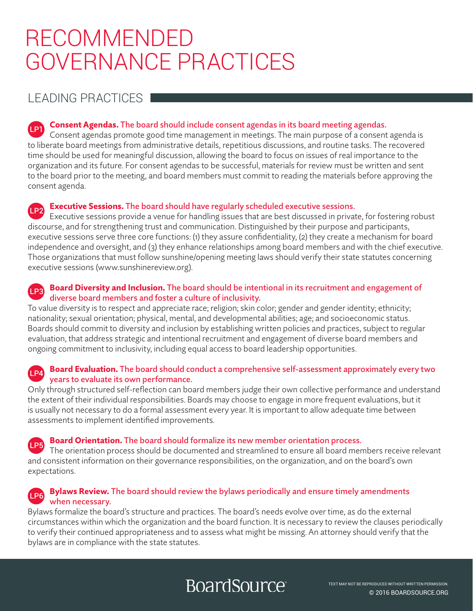## LEADING PRACTICES

## **Consent Agendas.** The board should include consent agendas in its board meeting agendas.

Consent agendas promote good time management in meetings. The main purpose of a consent agenda is to liberate board meetings from administrative details, repetitious discussions, and routine tasks. The recovered time should be used for meaningful discussion, allowing the board to focus on issues of real importance to the organization and its future. For consent agendas to be successful, materials for review must be written and sent to the board prior to the meeting, and board members must commit to reading the materials before approving the consent agenda.

## Executive Sessions. The board should have regularly scheduled executive sessions. LP2

Executive sessions provide a venue for handling issues that are best discussed in private, for fostering robust discourse, and for strengthening trust and communication. Distinguished by their purpose and participants, executive sessions serve three core functions: (1) they assure confidentiality, (2) they create a mechanism for board independence and oversight, and (3) they enhance relationships among board members and with the chief executive. Those organizations that must follow sunshine/opening meeting laws should verify their state statutes concerning executive sessions (www.sunshinereview.org).

### **LP3** Board Diversity and Inclusion. The board should be intentional in its recruitment and engagement of diverse board members and foster a culture of inclusivity.

To value diversity is to respect and appreciate race; religion; skin color; gender and gender identity; ethnicity; nationality; sexual orientation; physical, mental, and developmental abilities; age; and socioeconomic status. Boards should commit to diversity and inclusion by establishing written policies and practices, subject to regular evaluation, that address strategic and intentional recruitment and engagement of diverse board members and ongoing commitment to inclusivity, including equal access to board leadership opportunities.

### **EP4** Board Evaluation. The board should conduct a comprehensive self-assessment approximately every two years to evaluate its own performance.

Only through structured self-reflection can board members judge their own collective performance and understand the extent of their individual responsibilities. Boards may choose to engage in more frequent evaluations, but it is usually not necessary to do a formal assessment every year. It is important to allow adequate time between assessments to implement identified improvements.

Board Orientation. The board should formalize its new member orientation process. LP5

The orientation process should be documented and streamlined to ensure all board members receive relevant and consistent information on their governance responsibilities, on the organization, and on the board's own expectations.

#### Bylaws Review. The board should review the bylaws periodically and ensure timely amendments when necessary. LP6

Bylaws formalize the board's structure and practices. The board's needs evolve over time, as do the external circumstances within which the organization and the board function. It is necessary to review the clauses periodically to verify their continued appropriateness and to assess what might be missing. An attorney should verify that the bylaws are in compliance with the state statutes.

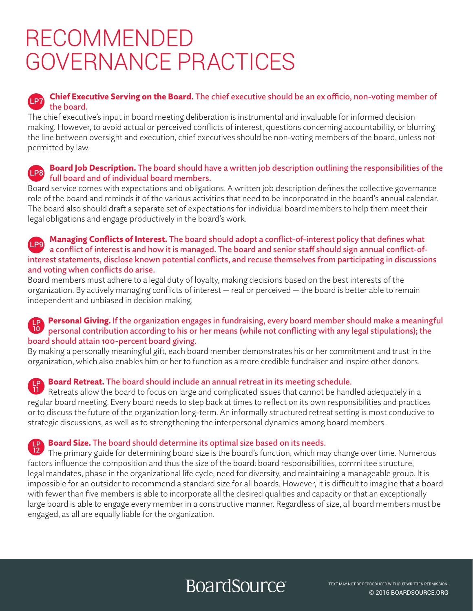#### **Chief Executive Serving on the Board.** The chief executive should be an ex officio, non-voting member of the board.  $\sqrt{1}$  P7

The chief executive's input in board meeting deliberation is instrumental and invaluable for informed decision making. However, to avoid actual or perceived conflicts of interest, questions concerning accountability, or blurring the line between oversight and execution, chief executives should be non-voting members of the board, unless not permitted by law.

#### Board Job Description. The board should have a written job description outlining the responsibilities of the full board and of individual board members.  $\sqrt{1}$ P8

Board service comes with expectations and obligations. A written job description defines the collective governance role of the board and reminds it of the various activities that need to be incorporated in the board's annual calendar. The board also should draft a separate set of expectations for individual board members to help them meet their legal obligations and engage productively in the board's work.

#### Managing Conflicts of Interest. The board should adopt a conflict-of-interest policy that defines what a conflict of interest is and how it is managed. The board and senior staff should sign annual conflict-ofinterest statements, disclose known potential conflicts, and recuse themselves from participating in discussions and voting when conflicts do arise.  $\sqrt{1}$  P9

Board members must adhere to a legal duty of loyalty, making decisions based on the best interests of the organization. By actively managing conflicts of interest — real or perceived — the board is better able to remain independent and unbiased in decision making.

#### **Personal Giving.** If the organization engages in fundraising, every board member should make a meaningful personal contribution according to his or her means (while not conflicting with any legal stipulations); the board should attain 100-percent board giving. 10

By making a personally meaningful gift, each board member demonstrates his or her commitment and trust in the organization, which also enables him or her to function as a more credible fundraiser and inspire other donors.

#### Board Retreat. The board should include an annual retreat in its meeting schedule. LP

Retreats allow the board to focus on large and complicated issues that cannot be handled adequately in a regular board meeting. Every board needs to step back at times to reflect on its own responsibilities and practices or to discuss the future of the organization long-term. An informally structured retreat setting is most conducive to strategic discussions, as well as to strengthening the interpersonal dynamics among board members. 11

#### **Board Size.** The board should determine its optimal size based on its needs. LP

The primary guide for determining board size is the board's function, which may change over time. Numerous factors influence the composition and thus the size of the board: board responsibilities, committee structure, legal mandates, phase in the organizational life cycle, need for diversity, and maintaining a manageable group. It is impossible for an outsider to recommend a standard size for all boards. However, it is difficult to imagine that a board with fewer than five members is able to incorporate all the desired qualities and capacity or that an exceptionally large board is able to engage every member in a constructive manner. Regardless of size, all board members must be engaged, as all are equally liable for the organization. 12

## **BoardSource**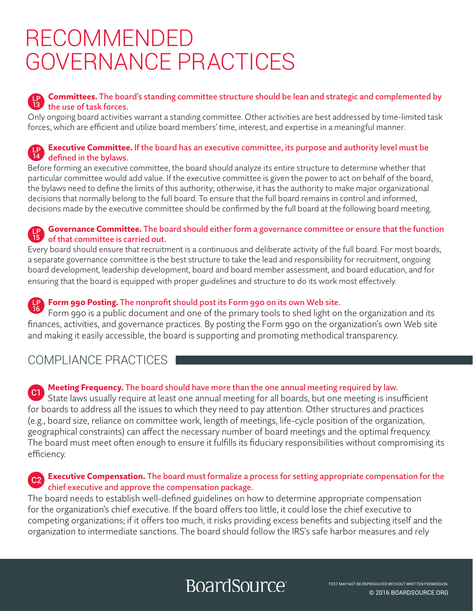#### Committees. The board's standing committee structure should be lean and strategic and complemented by the use of task forces. LP 13

Only ongoing board activities warrant a standing committee. Other activities are best addressed by time-limited task forces, which are efficient and utilize board members' time, interest, and expertise in a meaningful manner.

#### **Executive Committee.** If the board has an executive committee, its purpose and authority level must be defined in the bylaws. LP 14

Before forming an executive committee, the board should analyze its entire structure to determine whether that particular committee would add value. If the executive committee is given the power to act on behalf of the board, the bylaws need to define the limits of this authority; otherwise, it has the authority to make major organizational decisions that normally belong to the full board. To ensure that the full board remains in control and informed, decisions made by the executive committee should be confirmed by the full board at the following board meeting.

#### Governance Committee. The board should either form a governance committee or ensure that the function of that committee is carried out. LP 15

Every board should ensure that recruitment is a continuous and deliberate activity of the full board. For most boards, a separate governance committee is the best structure to take the lead and responsibility for recruitment, ongoing board development, leadership development, board and board member assessment, and board education, and for ensuring that the board is equipped with proper guidelines and structure to do its work most effectively.

#### Form 990 Posting. The nonprofit should post its Form 990 on its own Web site. LP

Form 990 is a public document and one of the primary tools to shed light on the organization and its finances, activities, and governance practices. By posting the Form 990 on the organization's own Web site and making it easily accessible, the board is supporting and promoting methodical transparency. 16

## COMPLIANCE PRACTICES

#### Meeting Frequency. The board should have more than the one annual meeting required by law.  $^{\circ}$  C1

State laws usually require at least one annual meeting for all boards, but one meeting is insufficient for boards to address all the issues to which they need to pay attention. Other structures and practices (e.g., board size, reliance on committee work, length of meetings, life-cycle position of the organization, geographical constraints) can affect the necessary number of board meetings and the optimal frequency. The board must meet often enough to ensure it fulfills its fiduciary responsibilities without compromising its efficiency.

## 62 Executive Compensation. The board must formalize a process for setting appropriate compensation for the chief executive and approve the compensation package.

The board needs to establish well-defined guidelines on how to determine appropriate compensation for the organization's chief executive. If the board offers too little, it could lose the chief executive to competing organizations; if it offers too much, it risks providing excess benefits and subjecting itself and the organization to intermediate sanctions. The board should follow the IRS's safe harbor measures and rely

# **BoardSource**